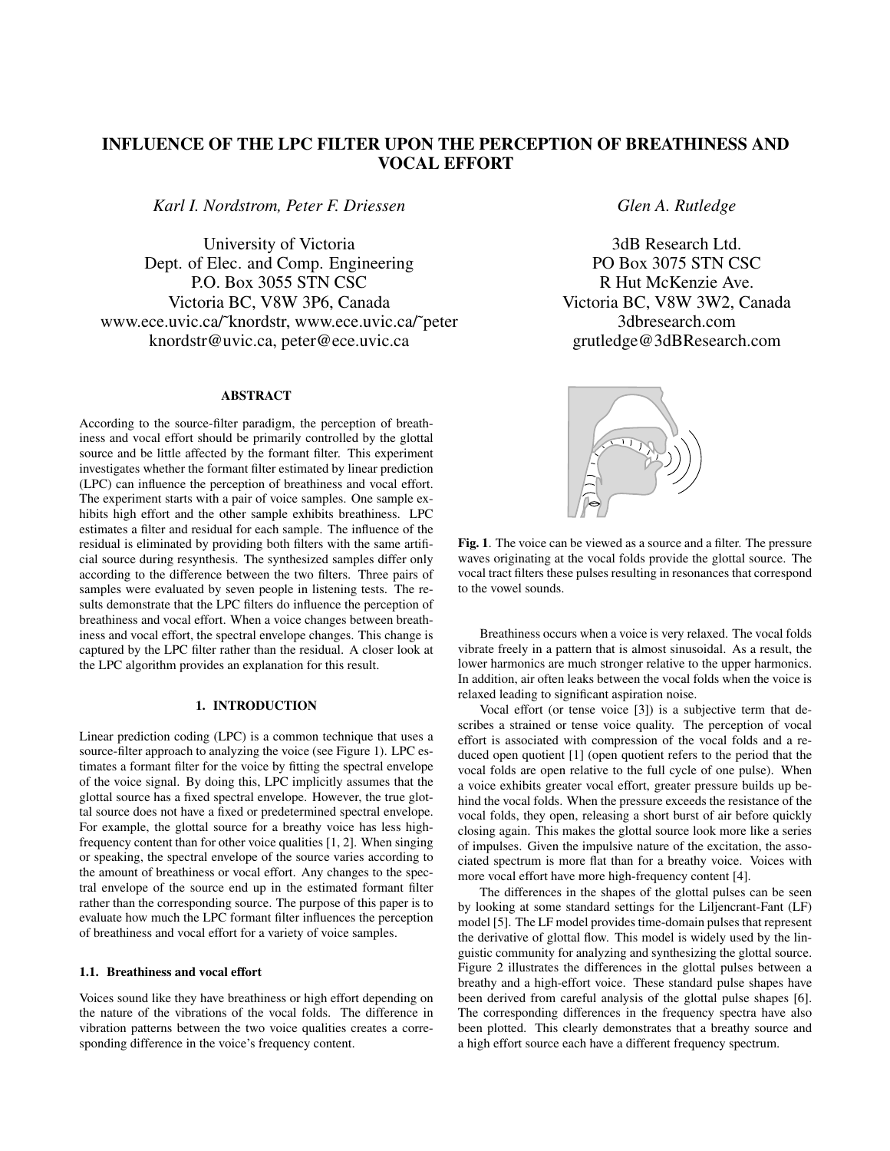# **INFLUENCE OF THE LPC FILTER UPON THE PERCEPTION OF BREATHINESS AND VOCAL EFFORT**

*Karl I. Nordstrom, Peter F. Driessen*

University of Victoria Dept. of Elec. and Comp. Engineering P.O. Box 3055 STN CSC Victoria BC, V8W 3P6, Canada www.ece.uvic.ca/˜knordstr, www.ece.uvic.ca/˜peter knordstr@uvic.ca, peter@ece.uvic.ca

# **ABSTRACT**

According to the source-filter paradigm, the perception of breathiness and vocal effort should be primarily controlled by the glottal source and be little affected by the formant filter. This experiment investigates whether the formant filter estimated by linear prediction (LPC) can influence the perception of breathiness and vocal effort. The experiment starts with a pair of voice samples. One sample exhibits high effort and the other sample exhibits breathiness. LPC estimates a filter and residual for each sample. The influence of the residual is eliminated by providing both filters with the same artificial source during resynthesis. The synthesized samples differ only according to the difference between the two filters. Three pairs of samples were evaluated by seven people in listening tests. The results demonstrate that the LPC filters do influence the perception of breathiness and vocal effort. When a voice changes between breathiness and vocal effort, the spectral envelope changes. This change is captured by the LPC filter rather than the residual. A closer look at the LPC algorithm provides an explanation for this result.

## **1. INTRODUCTION**

Linear prediction coding (LPC) is a common technique that uses a source-filter approach to analyzing the voice (see Figure 1). LPC estimates a formant filter for the voice by fitting the spectral envelope of the voice signal. By doing this, LPC implicitly assumes that the glottal source has a fixed spectral envelope. However, the true glottal source does not have a fixed or predetermined spectral envelope. For example, the glottal source for a breathy voice has less highfrequency content than for other voice qualities [1, 2]. When singing or speaking, the spectral envelope of the source varies according to the amount of breathiness or vocal effort. Any changes to the spectral envelope of the source end up in the estimated formant filter rather than the corresponding source. The purpose of this paper is to evaluate how much the LPC formant filter influences the perception of breathiness and vocal effort for a variety of voice samples.

#### **1.1. Breathiness and vocal effort**

Voices sound like they have breathiness or high effort depending on the nature of the vibrations of the vocal folds. The difference in vibration patterns between the two voice qualities creates a corresponding difference in the voice's frequency content.

*Glen A. Rutledge*

3dB Research Ltd. PO Box 3075 STN CSC R Hut McKenzie Ave. Victoria BC, V8W 3W2, Canada 3dbresearch.com grutledge@3dBResearch.com



**Fig. 1**. The voice can be viewed as a source and a filter. The pressure waves originating at the vocal folds provide the glottal source. The vocal tract filters these pulses resulting in resonances that correspond to the vowel sounds.

Breathiness occurs when a voice is very relaxed. The vocal folds vibrate freely in a pattern that is almost sinusoidal. As a result, the lower harmonics are much stronger relative to the upper harmonics. In addition, air often leaks between the vocal folds when the voice is relaxed leading to significant aspiration noise.

Vocal effort (or tense voice [3]) is a subjective term that describes a strained or tense voice quality. The perception of vocal effort is associated with compression of the vocal folds and a reduced open quotient [1] (open quotient refers to the period that the vocal folds are open relative to the full cycle of one pulse). When a voice exhibits greater vocal effort, greater pressure builds up behind the vocal folds. When the pressure exceeds the resistance of the vocal folds, they open, releasing a short burst of air before quickly closing again. This makes the glottal source look more like a series of impulses. Given the impulsive nature of the excitation, the associated spectrum is more flat than for a breathy voice. Voices with more vocal effort have more high-frequency content [4].

The differences in the shapes of the glottal pulses can be seen by looking at some standard settings for the Liljencrant-Fant (LF) model [5]. The LF model provides time-domain pulses that represent the derivative of glottal flow. This model is widely used by the linguistic community for analyzing and synthesizing the glottal source. Figure 2 illustrates the differences in the glottal pulses between a breathy and a high-effort voice. These standard pulse shapes have been derived from careful analysis of the glottal pulse shapes [6]. The corresponding differences in the frequency spectra have also been plotted. This clearly demonstrates that a breathy source and a high effort source each have a different frequency spectrum.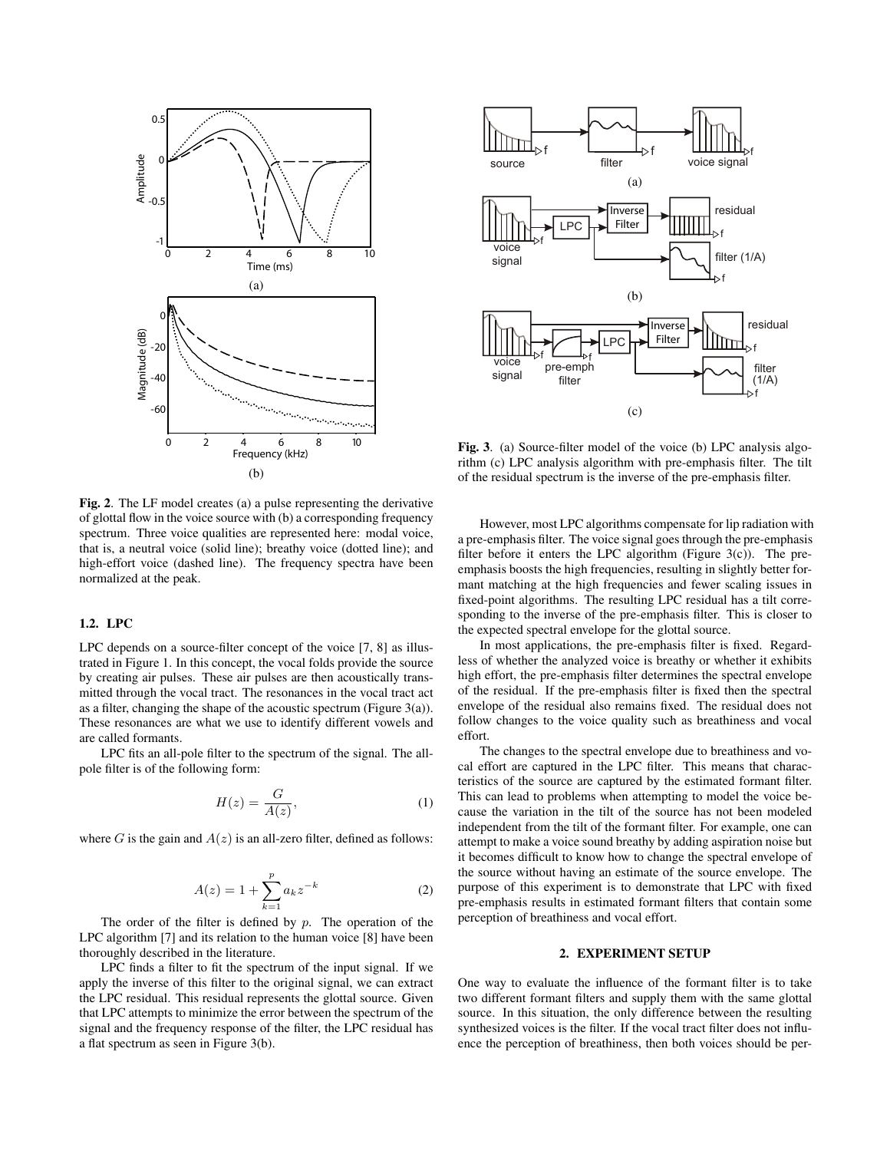

**Fig. 2**. The LF model creates (a) a pulse representing the derivative of glottal flow in the voice source with (b) a corresponding frequency spectrum. Three voice qualities are represented here: modal voice, that is, a neutral voice (solid line); breathy voice (dotted line); and high-effort voice (dashed line). The frequency spectra have been normalized at the peak.

# **1.2. LPC**

LPC depends on a source-filter concept of the voice [7, 8] as illustrated in Figure 1. In this concept, the vocal folds provide the source by creating air pulses. These air pulses are then acoustically transmitted through the vocal tract. The resonances in the vocal tract act as a filter, changing the shape of the acoustic spectrum (Figure 3(a)). These resonances are what we use to identify different vowels and are called formants.

LPC fits an all-pole filter to the spectrum of the signal. The allpole filter is of the following form:

$$
H(z) = \frac{G}{A(z)},\tag{1}
$$

where G is the gain and  $A(z)$  is an all-zero filter, defined as follows:

$$
A(z) = 1 + \sum_{k=1}^{p} a_k z^{-k}
$$
 (2)

The order of the filter is defined by  $p$ . The operation of the LPC algorithm [7] and its relation to the human voice [8] have been thoroughly described in the literature.

LPC finds a filter to fit the spectrum of the input signal. If we apply the inverse of this filter to the original signal, we can extract the LPC residual. This residual represents the glottal source. Given that LPC attempts to minimize the error between the spectrum of the signal and the frequency response of the filter, the LPC residual has a flat spectrum as seen in Figure 3(b).



**Fig. 3**. (a) Source-filter model of the voice (b) LPC analysis algorithm (c) LPC analysis algorithm with pre-emphasis filter. The tilt of the residual spectrum is the inverse of the pre-emphasis filter.

However, most LPC algorithms compensate for lip radiation with a pre-emphasis filter. The voice signal goes through the pre-emphasis filter before it enters the LPC algorithm (Figure  $3(c)$ ). The preemphasis boosts the high frequencies, resulting in slightly better formant matching at the high frequencies and fewer scaling issues in fixed-point algorithms. The resulting LPC residual has a tilt corresponding to the inverse of the pre-emphasis filter. This is closer to the expected spectral envelope for the glottal source.

In most applications, the pre-emphasis filter is fixed. Regardless of whether the analyzed voice is breathy or whether it exhibits high effort, the pre-emphasis filter determines the spectral envelope of the residual. If the pre-emphasis filter is fixed then the spectral envelope of the residual also remains fixed. The residual does not follow changes to the voice quality such as breathiness and vocal effort.

The changes to the spectral envelope due to breathiness and vocal effort are captured in the LPC filter. This means that characteristics of the source are captured by the estimated formant filter. This can lead to problems when attempting to model the voice because the variation in the tilt of the source has not been modeled independent from the tilt of the formant filter. For example, one can attempt to make a voice sound breathy by adding aspiration noise but it becomes difficult to know how to change the spectral envelope of the source without having an estimate of the source envelope. The purpose of this experiment is to demonstrate that LPC with fixed pre-emphasis results in estimated formant filters that contain some perception of breathiness and vocal effort.

#### **2. EXPERIMENT SETUP**

One way to evaluate the influence of the formant filter is to take two different formant filters and supply them with the same glottal source. In this situation, the only difference between the resulting synthesized voices is the filter. If the vocal tract filter does not influence the perception of breathiness, then both voices should be per-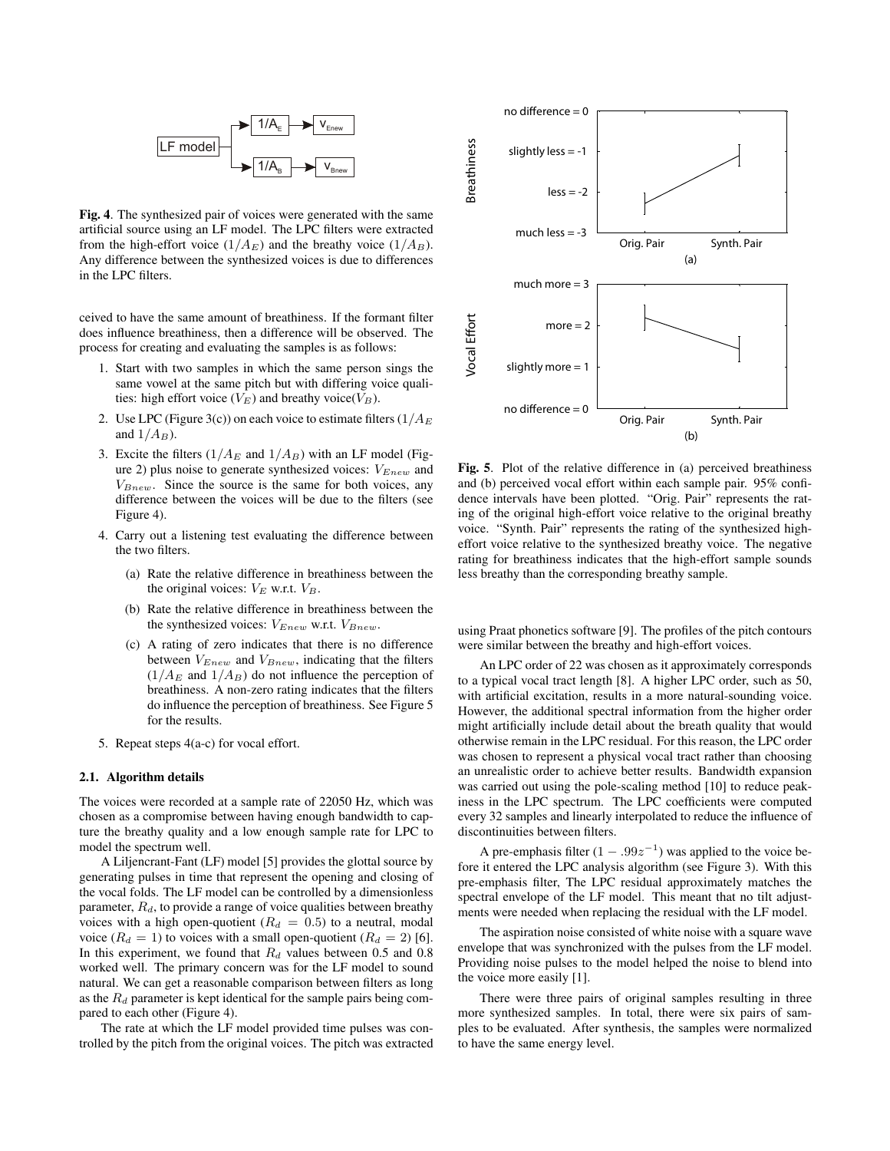

**Fig. 4**. The synthesized pair of voices were generated with the same artificial source using an LF model. The LPC filters were extracted from the high-effort voice  $(1/A_E)$  and the breathy voice  $(1/A_B)$ . Any difference between the synthesized voices is due to differences in the LPC filters.

ceived to have the same amount of breathiness. If the formant filter does influence breathiness, then a difference will be observed. The process for creating and evaluating the samples is as follows:

- 1. Start with two samples in which the same person sings the same vowel at the same pitch but with differing voice qualities: high effort voice  $(V_E)$  and breathy voice  $(V_B)$ .
- 2. Use LPC (Figure 3(c)) on each voice to estimate filters  $(1/A_E)$ and  $1/A_B$ ).
- 3. Excite the filters  $(1/A_E$  and  $1/A_B$ ) with an LF model (Figure 2) plus noise to generate synthesized voices:  $V_{Enew}$  and  $V_{Bnew}$ . Since the source is the same for both voices, any difference between the voices will be due to the filters (see Figure 4).
- 4. Carry out a listening test evaluating the difference between the two filters.
	- (a) Rate the relative difference in breathiness between the the original voices:  $V_E$  w.r.t.  $V_B$ .
	- (b) Rate the relative difference in breathiness between the the synthesized voices:  $V_{Enew}$  w.r.t.  $V_{Bnew}$ .
	- (c) A rating of zero indicates that there is no difference between  $V_{Enew}$  and  $V_{Bnew}$ , indicating that the filters  $(1/A_E$  and  $1/A_B$ ) do not influence the perception of breathiness. A non-zero rating indicates that the filters do influence the perception of breathiness. See Figure 5 for the results.
- 5. Repeat steps 4(a-c) for vocal effort.

#### **2.1. Algorithm details**

The voices were recorded at a sample rate of 22050 Hz, which was chosen as a compromise between having enough bandwidth to capture the breathy quality and a low enough sample rate for LPC to model the spectrum well.

A Liljencrant-Fant (LF) model [5] provides the glottal source by generating pulses in time that represent the opening and closing of the vocal folds. The LF model can be controlled by a dimensionless parameter,  $R_d$ , to provide a range of voice qualities between breathy voices with a high open-quotient ( $R_d = 0.5$ ) to a neutral, modal voice  $(R_d = 1)$  to voices with a small open-quotient  $(R_d = 2)$  [6]. In this experiment, we found that  $R_d$  values between 0.5 and 0.8 worked well. The primary concern was for the LF model to sound natural. We can get a reasonable comparison between filters as long as the  $R_d$  parameter is kept identical for the sample pairs being compared to each other (Figure 4).

The rate at which the LF model provided time pulses was controlled by the pitch from the original voices. The pitch was extracted



**Fig. 5**. Plot of the relative difference in (a) perceived breathiness and (b) perceived vocal effort within each sample pair. 95% confidence intervals have been plotted. "Orig. Pair" represents the rating of the original high-effort voice relative to the original breathy voice. "Synth. Pair" represents the rating of the synthesized higheffort voice relative to the synthesized breathy voice. The negative rating for breathiness indicates that the high-effort sample sounds less breathy than the corresponding breathy sample.

using Praat phonetics software [9]. The profiles of the pitch contours were similar between the breathy and high-effort voices.

An LPC order of 22 was chosen as it approximately corresponds to a typical vocal tract length [8]. A higher LPC order, such as 50, with artificial excitation, results in a more natural-sounding voice. However, the additional spectral information from the higher order might artificially include detail about the breath quality that would otherwise remain in the LPC residual. For this reason, the LPC order was chosen to represent a physical vocal tract rather than choosing an unrealistic order to achieve better results. Bandwidth expansion was carried out using the pole-scaling method [10] to reduce peakiness in the LPC spectrum. The LPC coefficients were computed every 32 samples and linearly interpolated to reduce the influence of discontinuities between filters.

A pre-emphasis filter  $(1 - .99z^{-1})$  was applied to the voice before it entered the LPC analysis algorithm (see Figure 3). With this pre-emphasis filter, The LPC residual approximately matches the spectral envelope of the LF model. This meant that no tilt adjustments were needed when replacing the residual with the LF model.

The aspiration noise consisted of white noise with a square wave envelope that was synchronized with the pulses from the LF model. Providing noise pulses to the model helped the noise to blend into the voice more easily [1].

There were three pairs of original samples resulting in three more synthesized samples. In total, there were six pairs of samples to be evaluated. After synthesis, the samples were normalized to have the same energy level.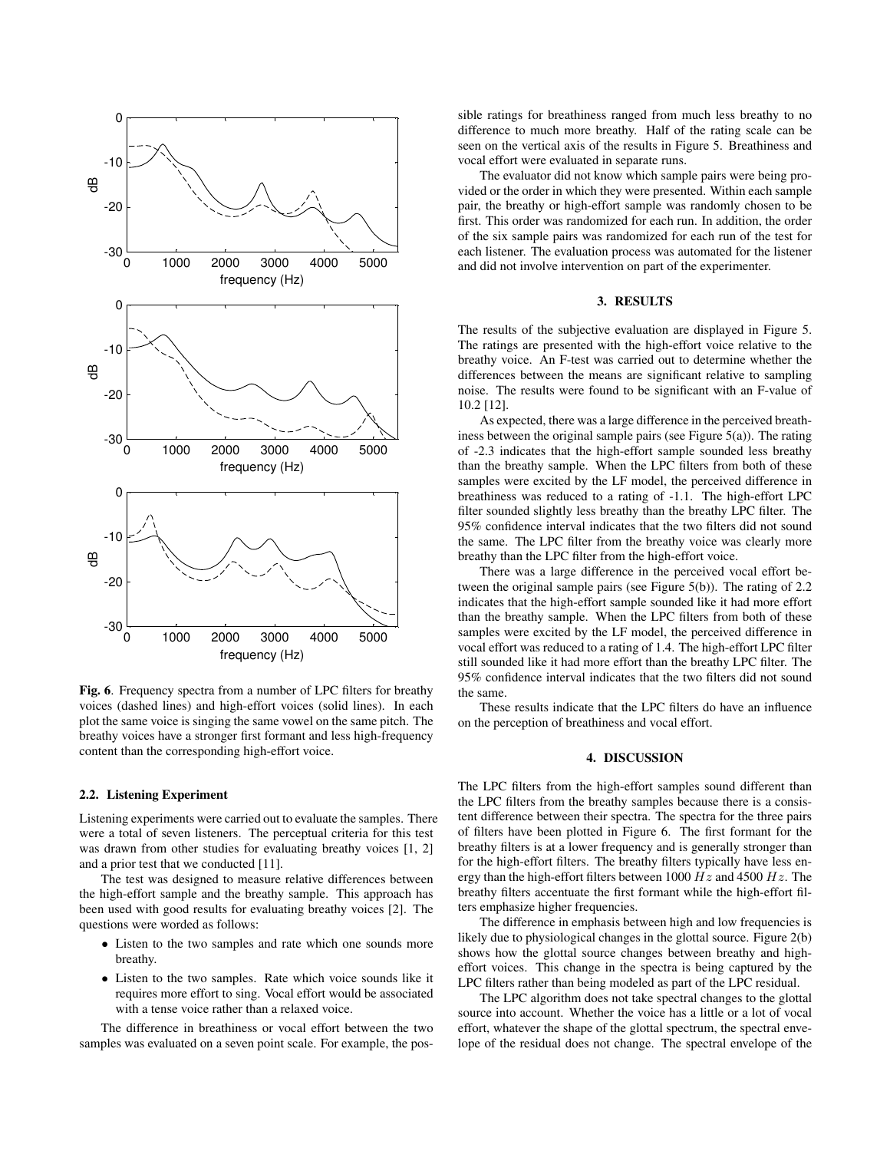

**Fig. 6**. Frequency spectra from a number of LPC filters for breathy voices (dashed lines) and high-effort voices (solid lines). In each plot the same voice is singing the same vowel on the same pitch. The breathy voices have a stronger first formant and less high-frequency content than the corresponding high-effort voice.

#### **2.2. Listening Experiment**

Listening experiments were carried out to evaluate the samples. There were a total of seven listeners. The perceptual criteria for this test was drawn from other studies for evaluating breathy voices [1, 2] and a prior test that we conducted [11].

The test was designed to measure relative differences between the high-effort sample and the breathy sample. This approach has been used with good results for evaluating breathy voices [2]. The questions were worded as follows:

- Listen to the two samples and rate which one sounds more breathy.
- Listen to the two samples. Rate which voice sounds like it requires more effort to sing. Vocal effort would be associated with a tense voice rather than a relaxed voice.

The difference in breathiness or vocal effort between the two samples was evaluated on a seven point scale. For example, the possible ratings for breathiness ranged from much less breathy to no difference to much more breathy. Half of the rating scale can be seen on the vertical axis of the results in Figure 5. Breathiness and vocal effort were evaluated in separate runs.

The evaluator did not know which sample pairs were being provided or the order in which they were presented. Within each sample pair, the breathy or high-effort sample was randomly chosen to be first. This order was randomized for each run. In addition, the order of the six sample pairs was randomized for each run of the test for each listener. The evaluation process was automated for the listener and did not involve intervention on part of the experimenter.

#### **3. RESULTS**

The results of the subjective evaluation are displayed in Figure 5. The ratings are presented with the high-effort voice relative to the breathy voice. An F-test was carried out to determine whether the differences between the means are significant relative to sampling noise. The results were found to be significant with an F-value of 10.2 [12].

As expected, there was a large difference in the perceived breathiness between the original sample pairs (see Figure 5(a)). The rating of -2.3 indicates that the high-effort sample sounded less breathy than the breathy sample. When the LPC filters from both of these samples were excited by the LF model, the perceived difference in breathiness was reduced to a rating of -1.1. The high-effort LPC filter sounded slightly less breathy than the breathy LPC filter. The 95% confidence interval indicates that the two filters did not sound the same. The LPC filter from the breathy voice was clearly more breathy than the LPC filter from the high-effort voice.

There was a large difference in the perceived vocal effort between the original sample pairs (see Figure 5(b)). The rating of 2.2 indicates that the high-effort sample sounded like it had more effort than the breathy sample. When the LPC filters from both of these samples were excited by the LF model, the perceived difference in vocal effort was reduced to a rating of 1.4. The high-effort LPC filter still sounded like it had more effort than the breathy LPC filter. The 95% confidence interval indicates that the two filters did not sound the same.

These results indicate that the LPC filters do have an influence on the perception of breathiness and vocal effort.

#### **4. DISCUSSION**

The LPC filters from the high-effort samples sound different than the LPC filters from the breathy samples because there is a consistent difference between their spectra. The spectra for the three pairs of filters have been plotted in Figure 6. The first formant for the breathy filters is at a lower frequency and is generally stronger than for the high-effort filters. The breathy filters typically have less energy than the high-effort filters between 1000  $Hz$  and 4500  $Hz$ . The breathy filters accentuate the first formant while the high-effort filters emphasize higher frequencies.

The difference in emphasis between high and low frequencies is likely due to physiological changes in the glottal source. Figure 2(b) shows how the glottal source changes between breathy and higheffort voices. This change in the spectra is being captured by the LPC filters rather than being modeled as part of the LPC residual.

The LPC algorithm does not take spectral changes to the glottal source into account. Whether the voice has a little or a lot of vocal effort, whatever the shape of the glottal spectrum, the spectral envelope of the residual does not change. The spectral envelope of the